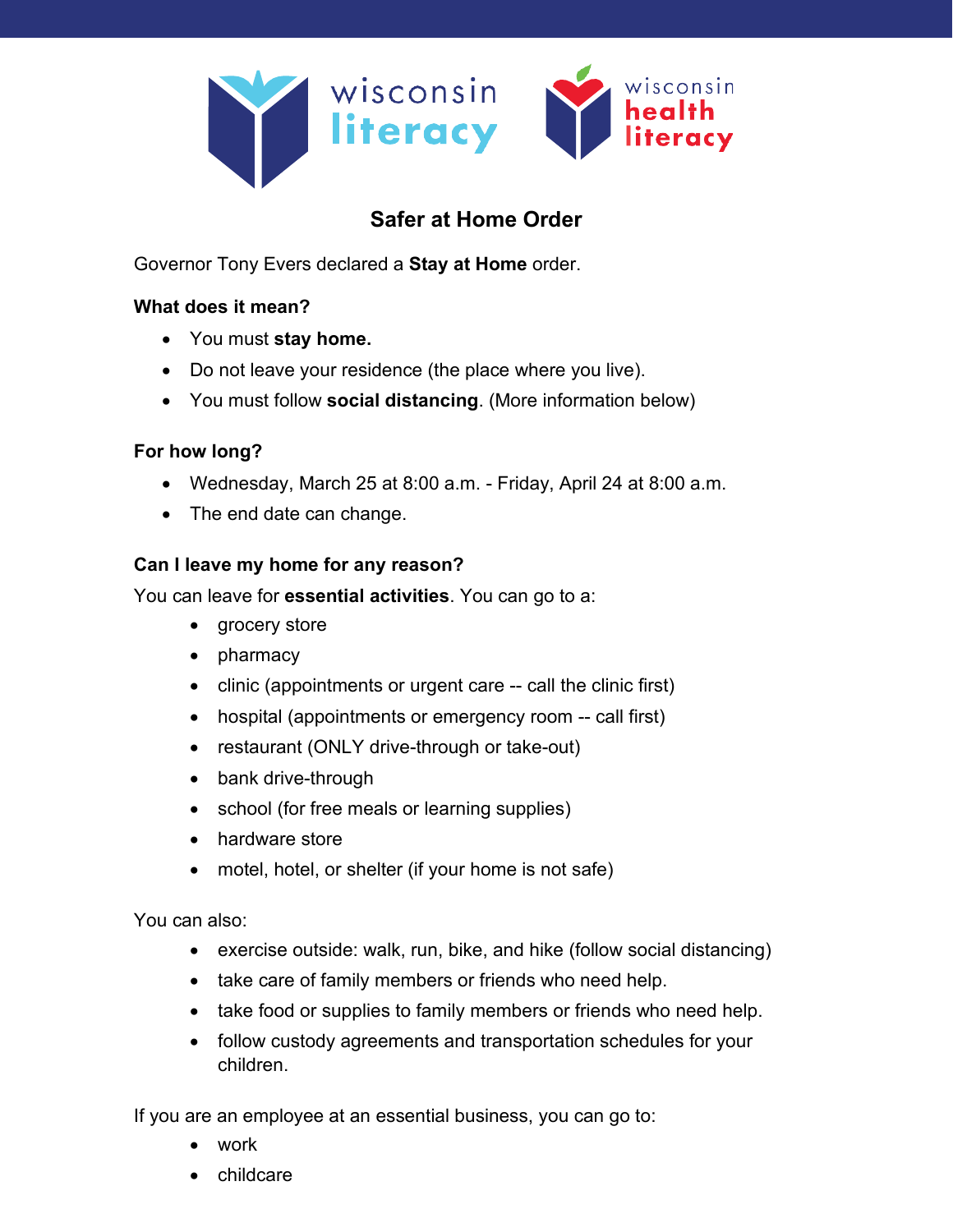

# **Safer at Home Order**

Governor Tony Evers declared a **Stay at Home** order.

# **What does it mean?**

- You must **stay home.**
- Do not leave your residence (the place where you live).
- You must follow **social distancing**. (More information below)

# **For how long?**

- Wednesday, March 25 at 8:00 a.m. Friday, April 24 at 8:00 a.m.
- The end date can change.

# **Can I leave my home for any reason?**

You can leave for **essential activities**. You can go to a:

- grocery store
- pharmacy
- clinic (appointments or urgent care -- call the clinic first)
- hospital (appointments or emergency room -- call first)
- restaurant (ONLY drive-through or take-out)
- bank drive-through
- school (for free meals or learning supplies)
- hardware store
- motel, hotel, or shelter (if your home is not safe)

You can also:

- exercise outside: walk, run, bike, and hike (follow social distancing)
- take care of family members or friends who need help.
- take food or supplies to family members or friends who need help.
- follow custody agreements and transportation schedules for your children.

If you are an employee at an essential business, you can go to:

- work
- childcare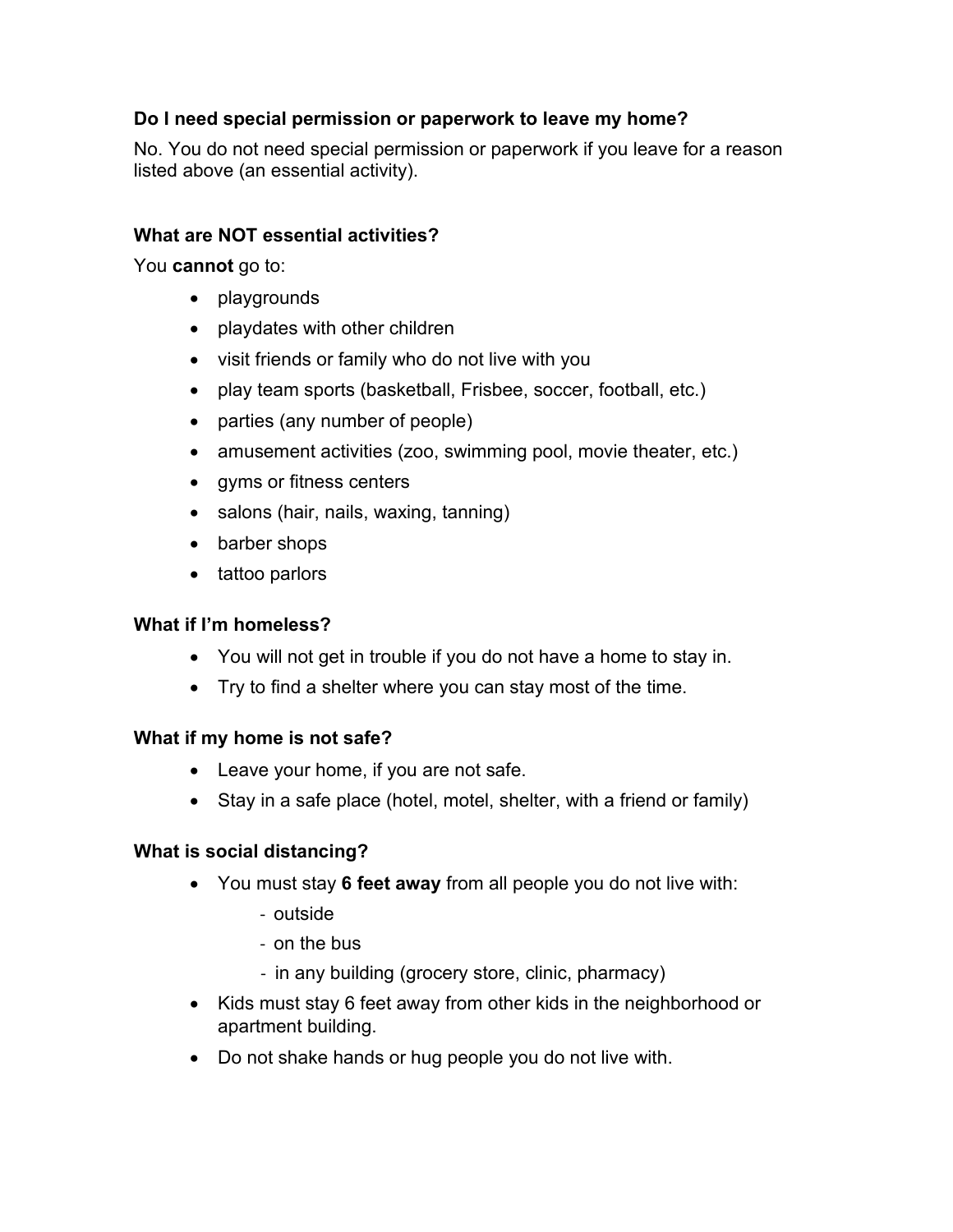# **Do I need special permission or paperwork to leave my home?**

No. You do not need special permission or paperwork if you leave for a reason listed above (an essential activity).

### **What are NOT essential activities?**

You **cannot** go to:

- playgrounds
- playdates with other children
- visit friends or family who do not live with you
- play team sports (basketball, Frisbee, soccer, football, etc.)
- parties (any number of people)
- amusement activities (zoo, swimming pool, movie theater, etc.)
- gyms or fitness centers
- salons (hair, nails, waxing, tanning)
- barber shops
- tattoo parlors

#### **What if I'm homeless?**

- You will not get in trouble if you do not have a home to stay in.
- Try to find a shelter where you can stay most of the time.

#### **What if my home is not safe?**

- Leave your home, if you are not safe.
- Stay in a safe place (hotel, motel, shelter, with a friend or family)

#### **What is social distancing?**

- You must stay **6 feet away** from all people you do not live with:
	- outside
	- on the bus
	- in any building (grocery store, clinic, pharmacy)
- Kids must stay 6 feet away from other kids in the neighborhood or apartment building.
- Do not shake hands or hug people you do not live with.